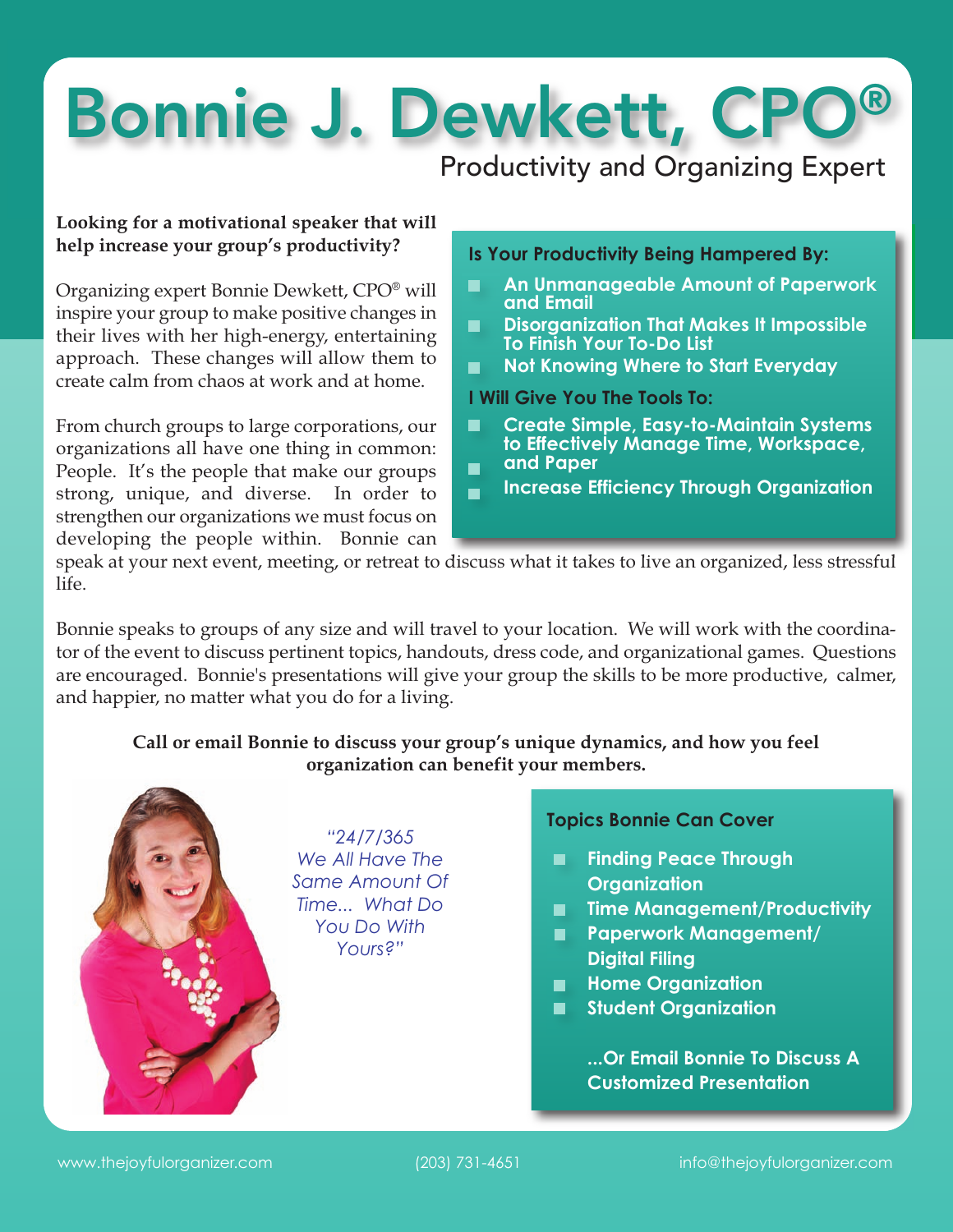# Bonnie J. Dewkett, CPO®

Productivity and Organizing Expert

#### **Looking for a motivational speaker that will help increase your group's productivity?**

Organizing expert Bonnie Dewkett, CPO® will inspire your group to make positive changes in their lives with her high-energy, entertaining approach. These changes will allow them to create calm from chaos at work and at home.

From church groups to large corporations, our organizations all have one thing in common: People. It's the people that make our groups strong, unique, and diverse. In order to strengthen our organizations we must focus on developing the people within. Bonnie can

#### **Is Your Productivity Being Hampered By:**

- **An Unmanageable Amount of Paperwork**  $\blacksquare$ **and Email**
- **Disorganization That Makes It Impossible** п **To Finish Your To-Do List**
- $\blacksquare$ **Not Knowing Where to Start Everyday**

#### **I Will Give You The Tools To:**

- **Create Simple, Easy-to-Maintain Systems**  $\blacksquare$ **to Effectively Manage Time, Workspace, and Paper**  $\blacksquare$
- **Increase Efficiency Through Organization**  $\blacksquare$

speak at your next event, meeting, or retreat to discuss what it takes to live an organized, less stressful life.

Bonnie speaks to groups of any size and will travel to your location. We will work with the coordinator of the event to discuss pertinent topics, handouts, dress code, and organizational games. Questions are encouraged. Bonnie's presentations will give your group the skills to be more productive, calmer, and happier, no matter what you do for a living.

#### **Call or email Bonnie to discuss your group's unique dynamics, and how you feel organization can benefit your members.**



#### **Topics Bonnie Can Cover**

- **Finding Peace Through Organization**
- **Time Management/Productivity**
- **Paperwork Management/ Digital Filing**
- **Home Organization**
- **Student Organization**

**...Or Email Bonnie To Discuss A Customized Presentation**